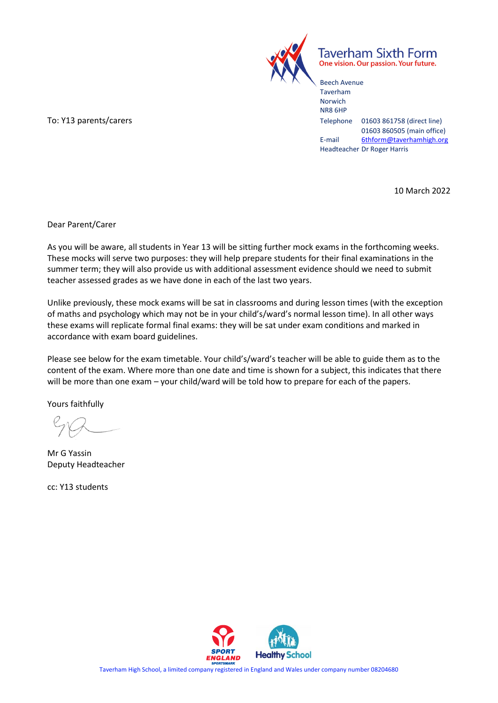

Taverham Sixth Form One vision. Our passion. Your future.

Beech Avenue Taverham Norwich NR8 6HP To: Y13 parents/carers Telephone 01603 861758 (direct line) 01603 860505 (main office) E-mail [6thform@taverhamhigh.org](mailto:6thform@taverhamhigh.org) Headteacher Dr Roger Harris

10 March 2022

Dear Parent/Carer

As you will be aware, all students in Year 13 will be sitting further mock exams in the forthcoming weeks. These mocks will serve two purposes: they will help prepare students for their final examinations in the summer term; they will also provide us with additional assessment evidence should we need to submit teacher assessed grades as we have done in each of the last two years.

Unlike previously, these mock exams will be sat in classrooms and during lesson times (with the exception of maths and psychology which may not be in your child's/ward's normal lesson time). In all other ways these exams will replicate formal final exams: they will be sat under exam conditions and marked in accordance with exam board guidelines.

Please see below for the exam timetable. Your child's/ward's teacher will be able to guide them as to the content of the exam. Where more than one date and time is shown for a subject, this indicates that there will be more than one exam – your child/ward will be told how to prepare for each of the papers.

Yours faithfully

Mr G Yassin Deputy Headteacher

cc: Y13 students